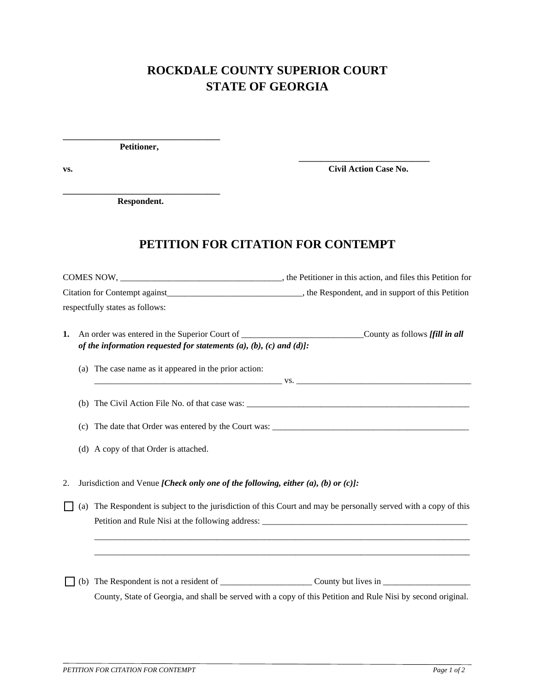## **ROCKDALE COUNTY SUPERIOR COURT STATE OF GEORGIA**

**\_\_\_\_\_\_\_\_\_\_\_\_\_\_\_\_\_\_\_\_\_\_\_\_\_\_\_\_\_\_\_\_\_\_\_\_ Petitioner,** 

**\_\_\_\_\_\_\_\_\_\_\_\_\_\_\_\_\_\_\_\_\_\_\_\_\_\_\_\_\_\_ vs. Civil Action Case No.** 

**\_\_\_\_\_\_\_\_\_\_\_\_\_\_\_\_\_\_\_\_\_\_\_\_\_\_\_\_\_\_\_\_\_\_\_\_ Respondent.** 

## **PETITION FOR CITATION FOR CONTEMPT**

COMES NOW, \_\_\_\_\_\_\_\_\_\_\_\_\_\_\_\_\_\_\_\_\_\_\_\_\_\_\_\_\_\_\_\_\_\_\_\_\_, the Petitioner in this action, and files this Petition for Citation for Contempt against\_\_\_\_\_\_\_\_\_\_\_\_\_\_\_\_\_\_\_\_\_\_\_\_\_\_\_\_\_\_\_, the Respondent, and in support of this Petition respectfully states as follows:

| <b>1.</b> An order was entered in the Superior Court of                        | County as follows [fill in all |
|--------------------------------------------------------------------------------|--------------------------------|
| of the information requested for statements $(a)$ , $(b)$ , $(c)$ and $(d)$ ]: |                                |

(a) The case name as it appeared in the prior action: \_\_\_\_\_\_\_\_\_\_\_\_\_\_\_\_\_\_\_\_\_\_\_\_\_\_\_\_\_\_\_\_\_\_\_\_\_\_\_\_\_\_\_ vs. \_\_\_\_\_\_\_\_\_\_\_\_\_\_\_\_\_\_\_\_\_\_\_\_\_\_\_\_\_\_\_\_\_\_\_\_\_\_\_\_

(b) The Civil Action File No. of that case was: \_\_\_\_\_\_\_\_\_\_\_\_\_\_\_\_\_\_\_\_\_\_\_\_\_\_\_\_\_\_\_\_\_

(c) The date that Order was entered by the Court was:

(d) A copy of that Order is attached.

2. Jurisdiction and Venue *[Check only one of the following, either (a), (b) or (c)]:*

 $\Box$  (a) The Respondent is subject to the jurisdiction of this Court and may be personally served with a copy of this Petition and Rule Nisi at the following address: \_\_\_\_\_\_\_\_\_\_\_\_\_\_\_\_\_\_\_\_\_\_\_\_\_\_\_\_\_\_\_\_

\_\_\_\_\_\_\_\_\_\_\_\_\_\_\_\_\_\_\_\_\_\_\_\_\_\_\_\_\_\_\_\_\_\_\_\_\_\_\_\_\_\_\_\_\_\_\_\_\_\_\_\_\_\_\_\_\_\_\_\_\_\_\_\_\_\_\_\_\_\_\_\_\_\_\_\_\_\_\_\_\_\_\_\_\_\_ \_\_\_\_\_\_\_\_\_\_\_\_\_\_\_\_\_\_\_\_\_\_\_\_\_\_\_\_\_\_\_\_\_\_\_\_\_\_\_\_\_\_\_\_\_\_\_\_\_\_\_\_\_\_\_\_\_\_\_\_\_\_\_\_\_\_\_\_\_\_\_\_\_\_\_\_\_\_\_\_\_\_\_\_\_\_

(b) The Respondent is not a resident of \_\_\_\_\_\_\_\_\_\_\_\_\_\_\_\_\_\_\_\_\_ County but lives in \_\_\_\_\_\_\_\_\_\_\_\_\_\_\_\_\_\_\_\_ County, State of Georgia, and shall be served with a copy of this Petition and Rule Nisi by second original.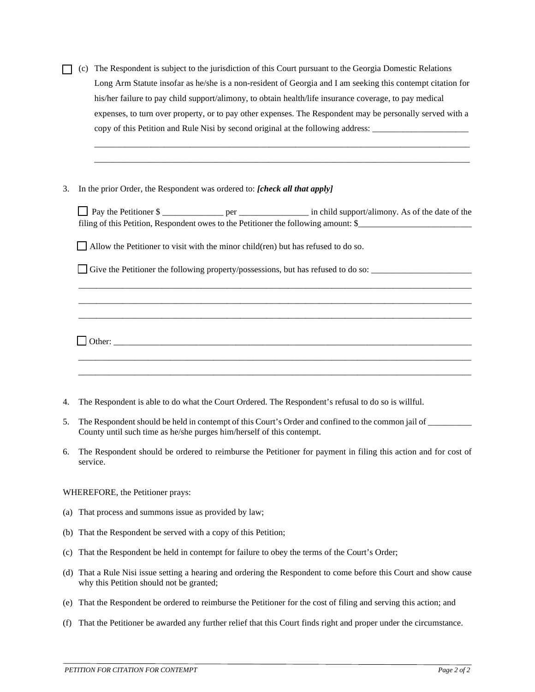|                                                                                  |                                                                                                           | (c) The Respondent is subject to the jurisdiction of this Court pursuant to the Georgia Domestic Relations  |  |
|----------------------------------------------------------------------------------|-----------------------------------------------------------------------------------------------------------|-------------------------------------------------------------------------------------------------------------|--|
|                                                                                  |                                                                                                           | Long Arm Statute insofar as he/she is a non-resident of Georgia and I am seeking this contempt citation for |  |
|                                                                                  | his/her failure to pay child support/alimony, to obtain health/life insurance coverage, to pay medical    |                                                                                                             |  |
|                                                                                  | expenses, to turn over property, or to pay other expenses. The Respondent may be personally served with a |                                                                                                             |  |
| copy of this Petition and Rule Nisi by second original at the following address: |                                                                                                           |                                                                                                             |  |

## 3. In the prior Order, the Respondent was ordered to: *[check all that apply]*

 $\Box$  Other:

**Pay the Petitioner \$ \_\_\_\_\_\_\_\_\_\_\_\_\_\_\_\_\_** per \_\_\_\_\_\_\_\_\_\_\_\_\_\_\_\_ in child support/alimony. As of the date of the filing of this Petition, Respondent owes to the Petitioner the following amount: \$

\_\_\_\_\_\_\_\_\_\_\_\_\_\_\_\_\_\_\_\_\_\_\_\_\_\_\_\_\_\_\_\_\_\_\_\_\_\_\_\_\_\_\_\_\_\_\_\_\_\_\_\_\_\_\_\_\_\_\_\_\_\_\_\_\_\_\_\_\_\_\_\_\_\_\_\_\_\_\_\_\_\_\_\_\_\_\_\_\_\_ \_\_\_\_\_\_\_\_\_\_\_\_\_\_\_\_\_\_\_\_\_\_\_\_\_\_\_\_\_\_\_\_\_\_\_\_\_\_\_\_\_\_\_\_\_\_\_\_\_\_\_\_\_\_\_\_\_\_\_\_\_\_\_\_\_\_\_\_\_\_\_\_\_\_\_\_\_\_\_\_\_\_\_\_\_\_\_\_\_\_ \_\_\_\_\_\_\_\_\_\_\_\_\_\_\_\_\_\_\_\_\_\_\_\_\_\_\_\_\_\_\_\_\_\_\_\_\_\_\_\_\_\_\_\_\_\_\_\_\_\_\_\_\_\_\_\_\_\_\_\_\_\_\_\_\_\_\_\_\_\_\_\_\_\_\_\_\_\_\_\_\_\_\_\_\_\_\_\_\_\_

\_\_\_\_\_\_\_\_\_\_\_\_\_\_\_\_\_\_\_\_\_\_\_\_\_\_\_\_\_\_\_\_\_\_\_\_\_\_\_\_\_\_\_\_\_\_\_\_\_\_\_\_\_\_\_\_\_\_\_\_\_\_\_\_\_\_\_\_\_\_\_\_\_\_\_\_\_\_\_\_\_\_\_\_\_\_ \_\_\_\_\_\_\_\_\_\_\_\_\_\_\_\_\_\_\_\_\_\_\_\_\_\_\_\_\_\_\_\_\_\_\_\_\_\_\_\_\_\_\_\_\_\_\_\_\_\_\_\_\_\_\_\_\_\_\_\_\_\_\_\_\_\_\_\_\_\_\_\_\_\_\_\_\_\_\_\_\_\_\_\_\_\_

 $\Box$  Allow the Petitioner to visit with the minor child(ren) but has refused to do so.

Give the Petitioner the following property/possessions, but has refused to do so:  $\Box$ 

4. The Respondent is able to do what the Court Ordered. The Respondent's refusal to do so is willful.

5. The Respondent should be held in contempt of this Court's Order and confined to the common jail of \_\_\_\_\_\_\_\_\_\_ County until such time as he/she purges him/herself of this contempt.

 $\mathcal{L}_\text{max}$  , and the contribution of the contribution of the contribution of the contribution of the contribution of the contribution of the contribution of the contribution of the contribution of the contribution of t  $\mathcal{L} = \{ \mathcal{L}_1, \mathcal{L}_2, \ldots, \mathcal{L}_n, \mathcal{L}_n, \ldots, \mathcal{L}_n, \mathcal{L}_n, \ldots, \mathcal{L}_n, \mathcal{L}_n, \mathcal{L}_n, \ldots, \mathcal{L}_n, \mathcal{L}_n, \mathcal{L}_n, \ldots, \mathcal{L}_n, \mathcal{L}_n, \mathcal{L}_n, \ldots, \mathcal{L}_n, \mathcal{L}_n, \ldots, \mathcal{L}_n, \mathcal{L}_n, \ldots, \mathcal{L}_n, \mathcal{L}_n, \ldots, \mathcal{L}_n$ 

6. The Respondent should be ordered to reimburse the Petitioner for payment in filing this action and for cost of service.

WHEREFORE, the Petitioner prays:

- (a) That process and summons issue as provided by law;
- (b) That the Respondent be served with a copy of this Petition;
- (c) That the Respondent be held in contempt for failure to obey the terms of the Court's Order;
- (d) That a Rule Nisi issue setting a hearing and ordering the Respondent to come before this Court and show cause why this Petition should not be granted;
- (e) That the Respondent be ordered to reimburse the Petitioner for the cost of filing and serving this action; and
- (f) That the Petitioner be awarded any further relief that this Court finds right and proper under the circumstance.